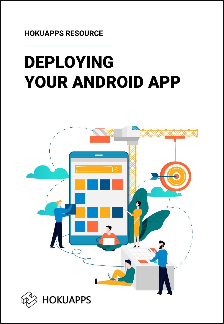# DEPLOYING YOUR ANDROID APP

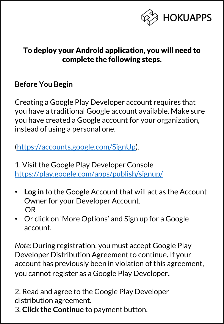

#### To deploy your Android application, you will need to complete the following steps.

#### **Before You Begin**

Creating a Google Play Developer account requires that you have a traditional Google account available. Make sure you have created a Google account for your organization, instead of using a personal one.

[\(https://accounts.google.com/SignUp](https://accounts.google.com/SignUp)).

1. Visit the Google Play Developer Console <https://play.google.com/apps/publish/signup/>

- **Log in** to the Google Account that will act as the Account Owner for your Developer Account. OR
- Or click on 'More Options' and Sign up for a Google account.

*Note:* During registration, you must accept Google Play Developer Distribution Agreement to continue. If your account has previously been in violation of this agreement, you cannot register as a Google Play Developer**.**

2. Read and agree to the Google Play Developer distribution agreement.

3. **Click the Continue** to payment button.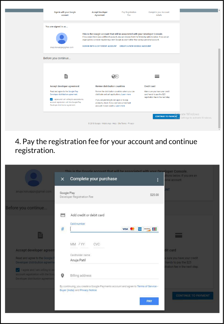| Sign-in with your Google<br>account                                                                                        | <b>Accept Developer</b><br>Agreement                                                                                                                                                                                                                                                                                                                             | Pay Registration<br>Fee | Complete your Account<br>details                             |                                               |
|----------------------------------------------------------------------------------------------------------------------------|------------------------------------------------------------------------------------------------------------------------------------------------------------------------------------------------------------------------------------------------------------------------------------------------------------------------------------------------------------------|-------------------------|--------------------------------------------------------------|-----------------------------------------------|
| You are signed in as                                                                                                       |                                                                                                                                                                                                                                                                                                                                                                  |                         |                                                              |                                               |
| anuja.hokuapps@gmail.com                                                                                                   | This is the Google account that will be associated with your Developer Console.<br>If you would like to use a different account, you can choose from the following options below. If you are an<br>organization, consider registering a new Google account rather than using a personal account.<br>SIGN IN WITH A DIFFERENT ACCOUNT CREATE A NEW GOOGLE ACCOUNT |                         |                                                              |                                               |
| Before you continue                                                                                                        |                                                                                                                                                                                                                                                                                                                                                                  |                         |                                                              |                                               |
|                                                                                                                            |                                                                                                                                                                                                                                                                                                                                                                  |                         |                                                              |                                               |
| È                                                                                                                          |                                                                                                                                                                                                                                                                                                                                                                  |                         |                                                              |                                               |
| Accept developer agreement                                                                                                 | <b>Review distribution countries</b>                                                                                                                                                                                                                                                                                                                             |                         | <b>Credit card</b>                                           |                                               |
| Read and agree to the Google Play<br>Developer distribution agreement.                                                     | Review the distribution countries where you can<br>distribute and sell applications. Learn more                                                                                                                                                                                                                                                                  |                         | Make sure you have your credit<br>card handy to pay the \$25 |                                               |
| I agree and I am willing to associate my<br>account registration with the Google Play<br>Developer distribution agreement. | If you are planning to sell apps or in-app<br>products, check if you can have a merchant<br>account in your country. Learn more                                                                                                                                                                                                                                  |                         | registration fee in the next step.                           |                                               |
|                                                                                                                            |                                                                                                                                                                                                                                                                                                                                                                  |                         | <b>CONTINUE TO PAYMENT</b>                                   | wate Windows<br>Settings to activate Windows. |
|                                                                                                                            | @ 2018 Google · Mobile App · Help · Site Terms · Privacy ·                                                                                                                                                                                                                                                                                                       |                         |                                                              |                                               |

#### 4. Pay the registration fee for your account and continue registration.

|                                                                                                  | $\times$    | This is the Google account that will be associated with your Developer Console.<br>Complete your purchase | ŧ                                  | otions below, If you are an<br>onal account.                                        |
|--------------------------------------------------------------------------------------------------|-------------|-----------------------------------------------------------------------------------------------------------|------------------------------------|-------------------------------------------------------------------------------------|
| anuja.hokuapps@gmail.com                                                                         | Google Play | Developer Registration Fee                                                                                | \$25.00                            | NT                                                                                  |
| Before you continue                                                                              | A           | Add credit or debit card                                                                                  |                                    |                                                                                     |
| Ë                                                                                                | $\#$        | Card number                                                                                               | <b>Discever DEE</b><br><b>VISA</b> | F                                                                                   |
| Accept developer agreen                                                                          |             | MM / YY<br>CVC<br>Cardholder name                                                                         |                                    | dit card                                                                            |
| Read and agree to the Google<br>Developer distribution agreem-<br>I agree and I am willing to as |             | Anuja Patil                                                                                               |                                    | sure you have your credit<br>handy to pay the \$25<br>tration fee in the next step. |
| account registration with the God<br>Developer distribution agreement                            | 0           | Billing address<br>By continuing, you create a Google Payments account and agree to Terms of Service -    |                                    |                                                                                     |
|                                                                                                  |             | Buyer (India) and Privacy Notice.                                                                         | <b>PAY</b>                         | <b>CONTINUE TO PAYMENT</b>                                                          |